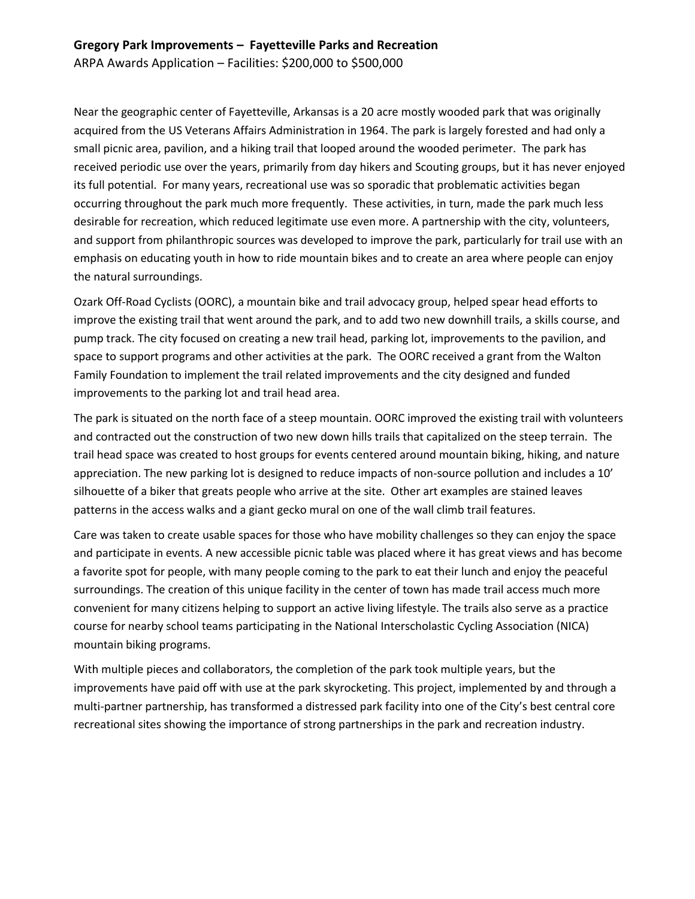ARPA Awards Application – Facilities: \$200,000 to \$500,000

Near the geographic center of Fayetteville, Arkansas is a 20 acre mostly wooded park that was originally acquired from the US Veterans Affairs Administration in 1964. The park is largely forested and had only a small picnic area, pavilion, and a hiking trail that looped around the wooded perimeter. The park has received periodic use over the years, primarily from day hikers and Scouting groups, but it has never enjoyed its full potential. For many years, recreational use was so sporadic that problematic activities began occurring throughout the park much more frequently. These activities, in turn, made the park much less desirable for recreation, which reduced legitimate use even more. A partnership with the city, volunteers, and support from philanthropic sources was developed to improve the park, particularly for trail use with an emphasis on educating youth in how to ride mountain bikes and to create an area where people can enjoy the natural surroundings.

Ozark Off-Road Cyclists (OORC), a mountain bike and trail advocacy group, helped spear head efforts to improve the existing trail that went around the park, and to add two new downhill trails, a skills course, and pump track. The city focused on creating a new trail head, parking lot, improvements to the pavilion, and space to support programs and other activities at the park. The OORC received a grant from the Walton Family Foundation to implement the trail related improvements and the city designed and funded improvements to the parking lot and trail head area.

The park is situated on the north face of a steep mountain. OORC improved the existing trail with volunteers and contracted out the construction of two new down hills trails that capitalized on the steep terrain. The trail head space was created to host groups for events centered around mountain biking, hiking, and nature appreciation. The new parking lot is designed to reduce impacts of non-source pollution and includes a 10' silhouette of a biker that greats people who arrive at the site. Other art examples are stained leaves patterns in the access walks and a giant gecko mural on one of the wall climb trail features.

Care was taken to create usable spaces for those who have mobility challenges so they can enjoy the space and participate in events. A new accessible picnic table was placed where it has great views and has become a favorite spot for people, with many people coming to the park to eat their lunch and enjoy the peaceful surroundings. The creation of this unique facility in the center of town has made trail access much more convenient for many citizens helping to support an active living lifestyle. The trails also serve as a practice course for nearby school teams participating in the National Interscholastic Cycling Association (NICA) mountain biking programs.

With multiple pieces and collaborators, the completion of the park took multiple years, but the improvements have paid off with use at the park skyrocketing. This project, implemented by and through a multi-partner partnership, has transformed a distressed park facility into one of the City's best central core recreational sites showing the importance of strong partnerships in the park and recreation industry.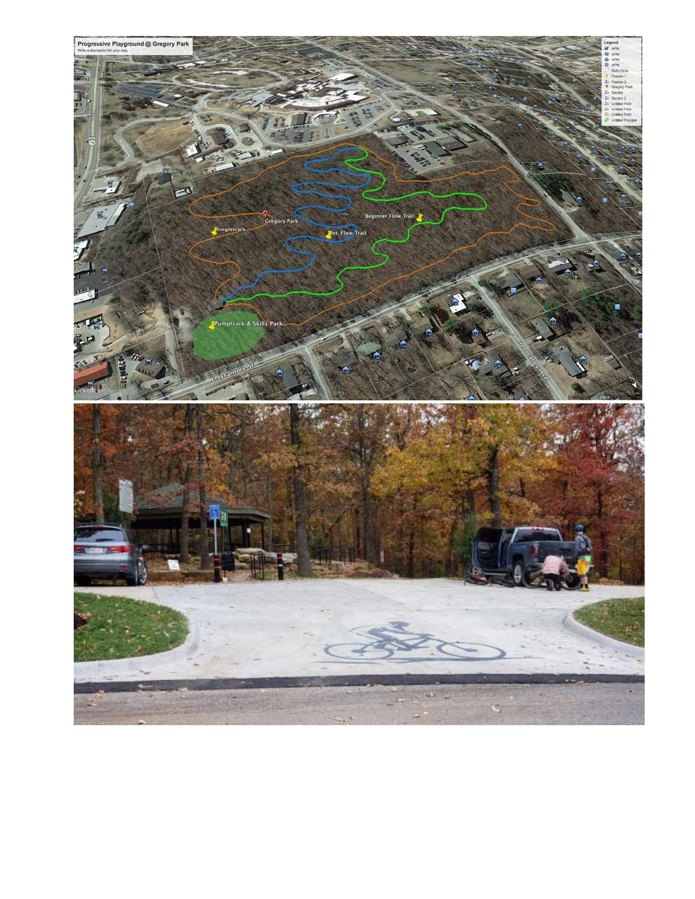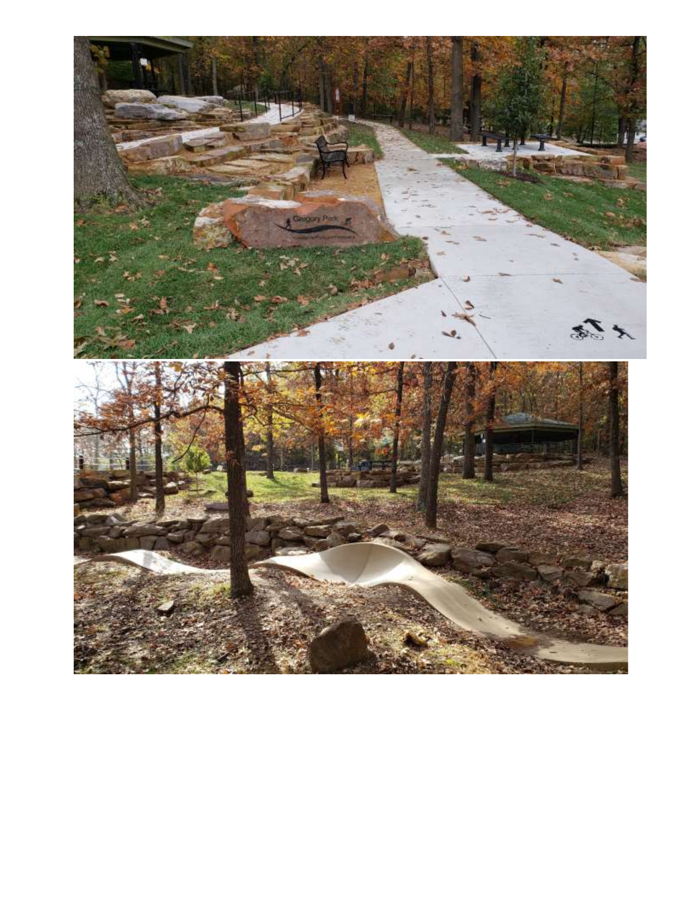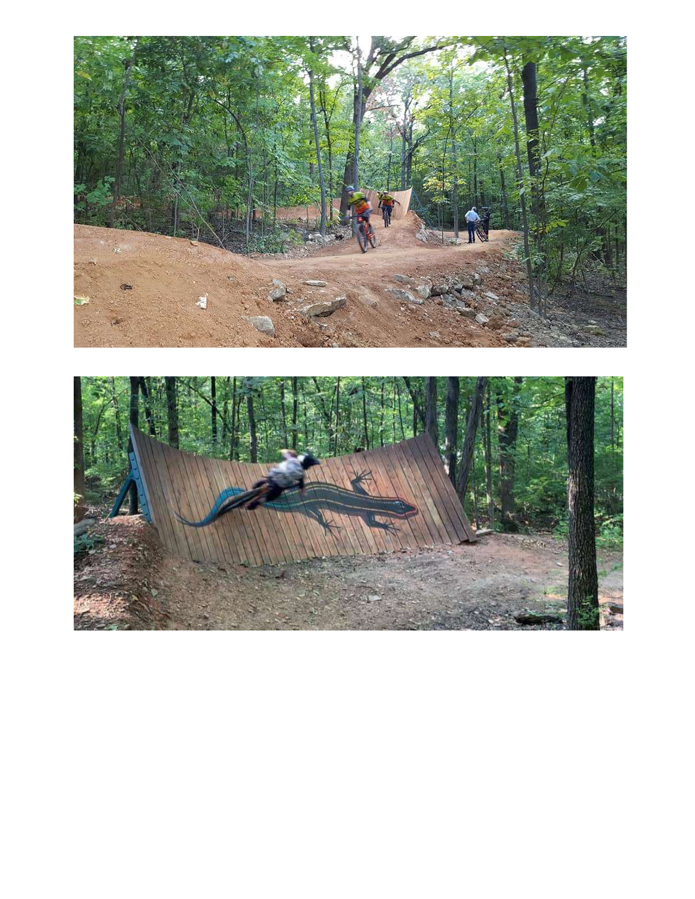